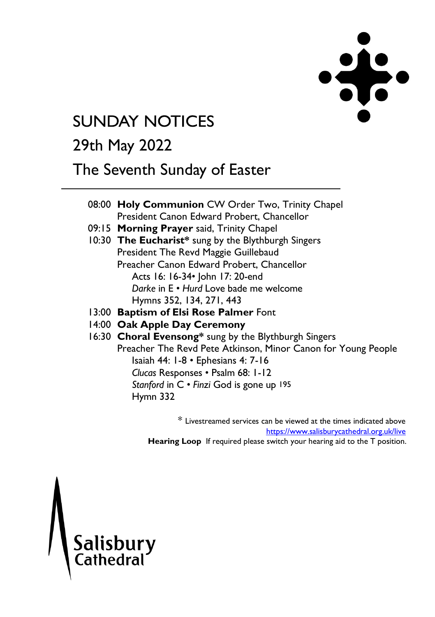

# **SUNDAY NOTICES**

## 29th May 2022

## The Seventh Sunday of Easter

08:00 **Holy Communion** CW Order Two, Trinity Chapel President Canon Edward Probert, Chancellor 09:15 **Morning Prayer** said, Trinity Chapel 10:30 **The Eucharist\*** sung by the Blythburgh Singers President The Revd Maggie Guillebaud Preacher Canon Edward Probert, Chancellor Acts 16: 16-34• John 17: 20-end *Darke* in E • *Hurd* Love bade me welcome Hymns 352, 134, 271, 443 13:00 **Baptism of Elsi Rose Palmer** Font 14:00 **Oak Apple Day Ceremony** 16:30 **Choral Evensong\*** sung by the Blythburgh Singers Preacher The Revd Pete Atkinson, Minor Canon for Young People Isaiah 44: 1-8 • Ephesians 4: 7-16

> *Clucas* Responses • Psalm 68: 1-12 *Stanford* in C • *Finzi* God is gone up 195 Hymn 332

\* Livestreamed services can be viewed at the times indicated above <https://www.salisburycathedral.org.uk/live> **Hearing Loop** If required please switch your hearing aid to the T position.

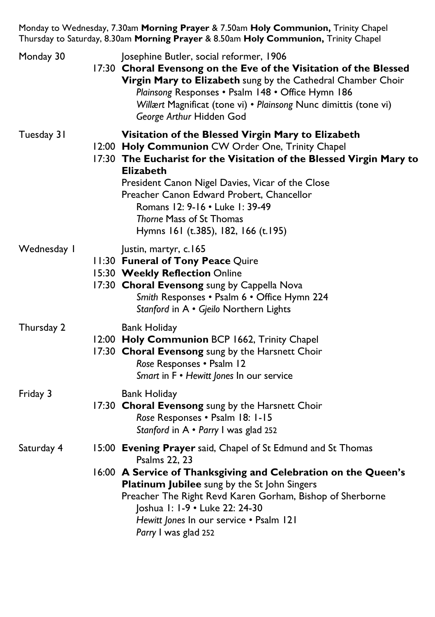Monday to Wednesday, 7.30am **Morning Prayer** & 7.50am **Holy Communion,** Trinity Chapel Thursday to Saturday, 8.30am **Morning Prayer** & 8.50am **Holy Communion,** Trinity Chapel

| Monday 30   | Josephine Butler, social reformer, 1906<br>17:30 Choral Evensong on the Eve of the Visitation of the Blessed<br>Virgin Mary to Elizabeth sung by the Cathedral Chamber Choir<br>Plainsong Responses . Psalm 148 . Office Hymn 186<br>Willært Magnificat (tone vi) • Plainsong Nunc dimittis (tone vi)<br>George Arthur Hidden God                                                                          |
|-------------|------------------------------------------------------------------------------------------------------------------------------------------------------------------------------------------------------------------------------------------------------------------------------------------------------------------------------------------------------------------------------------------------------------|
| Tuesday 31  | Visitation of the Blessed Virgin Mary to Elizabeth<br>12:00 Holy Communion CW Order One, Trinity Chapel<br>17:30 The Eucharist for the Visitation of the Blessed Virgin Mary to<br><b>Elizabeth</b><br>President Canon Nigel Davies, Vicar of the Close<br>Preacher Canon Edward Probert, Chancellor<br>Romans 12: 9-16 . Luke 1: 39-49<br>Thorne Mass of St Thomas<br>Hymns 161 (t.385), 182, 166 (t.195) |
| Wednesday I | Justin, martyr, c.165<br>11:30 Funeral of Tony Peace Quire<br>15:30 Weekly Reflection Online<br>17:30 Choral Evensong sung by Cappella Nova<br>Smith Responses . Psalm 6 . Office Hymn 224<br>Stanford in A · Gjeilo Northern Lights                                                                                                                                                                       |
| Thursday 2  | <b>Bank Holiday</b><br>12:00 Holy Communion BCP 1662, Trinity Chapel<br>17:30 Choral Evensong sung by the Harsnett Choir<br>Rose Responses . Psalm 12<br>Smart in F . Hewitt Jones In our service                                                                                                                                                                                                          |
| Friday 3    | Bank Holiday<br>17:30 Choral Evensong sung by the Harsnett Choir<br>Rose Responses . Psalm 18: 1-15<br>Stanford in A . Parry I was glad 252                                                                                                                                                                                                                                                                |
| Saturday 4  | 15:00 Evening Prayer said, Chapel of St Edmund and St Thomas<br>Psalms 22, 23<br>16:00 A Service of Thanksgiving and Celebration on the Queen's<br>Platinum Jubilee sung by the St John Singers<br>Preacher The Right Revd Karen Gorham, Bishop of Sherborne<br>Joshua I: I-9 • Luke 22: 24-30<br>Hewitt Jones In our service . Psalm 121<br>Parry I was glad 252                                          |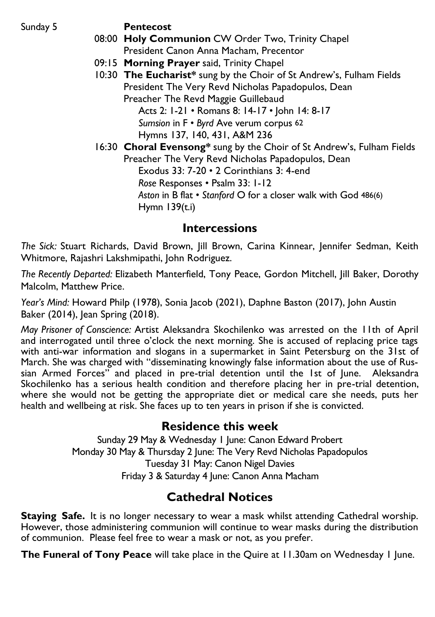Sunday 5 **Pentecost** 

- 08:00 **Holy Communion** CW Order Two, Trinity Chapel President Canon Anna Macham, Precentor
- 09:15 **Morning Prayer** said, Trinity Chapel
- 10:30 **The Eucharist\*** sung by the Choir of St Andrew's, Fulham Fields President The Very Revd Nicholas Papadopulos, Dean Preacher The Revd Maggie Guillebaud Acts 2: 1-21 • Romans 8: 14-17 • John 14: 8-17

*Sumsion* in F • *Byrd* Ave verum corpus 62 Hymns 137, 140, 431, A&M 236

16:30 **Choral Evensong\*** sung by the Choir of St Andrew's, Fulham Fields Preacher The Very Revd Nicholas Papadopulos, Dean Exodus 33: 7-20 • 2 Corinthians 3: 4-end *Rose* Responses • Psalm 33: 1-12 *Aston* in B flat • *Stanford* O for a closer walk with God 486(6) Hymn  $139(t)$ 

#### **Intercessions**

*The Sick:* Stuart Richards, David Brown, Jill Brown, Carina Kinnear, Jennifer Sedman, Keith Whitmore, Rajashri Lakshmipathi, John Rodriguez.

*The Recently Departed:* Elizabeth Manterfield, Tony Peace, Gordon Mitchell, Jill Baker, Dorothy Malcolm, Matthew Price.

*Year's Mind:* Howard Philp (1978), Sonia Jacob (2021), Daphne Baston (2017), John Austin Baker (2014), Jean Spring (2018).

*May Prisoner of Conscience:* Artist Aleksandra Skochilenko was arrested on the 11th of April and interrogated until three o'clock the next morning. She is accused of replacing price tags with anti-war information and slogans in a supermarket in Saint Petersburg on the 31st of March. She was charged with "disseminating knowingly false information about the use of Russian Armed Forces" and placed in pre-trial detention until the 1st of June. Aleksandra Skochilenko has a serious health condition and therefore placing her in pre-trial detention, where she would not be getting the appropriate diet or medical care she needs, puts her health and wellbeing at risk. She faces up to ten years in prison if she is convicted.

#### **Residence this week**

Sunday 29 May & Wednesday 1 June: Canon Edward Probert Monday 30 May & Thursday 2 June: The Very Revd Nicholas Papadopulos Tuesday 31 May: Canon Nigel Davies Friday 3 & Saturday 4 June: Canon Anna Macham

### **Cathedral Notices**

**Staying Safe.** It is no longer necessary to wear a mask whilst attending Cathedral worship. However, those administering communion will continue to wear masks during the distribution of communion. Please feel free to wear a mask or not, as you prefer.

**The Funeral of Tony Peace** will take place in the Quire at 11.30am on Wednesday 1 June.